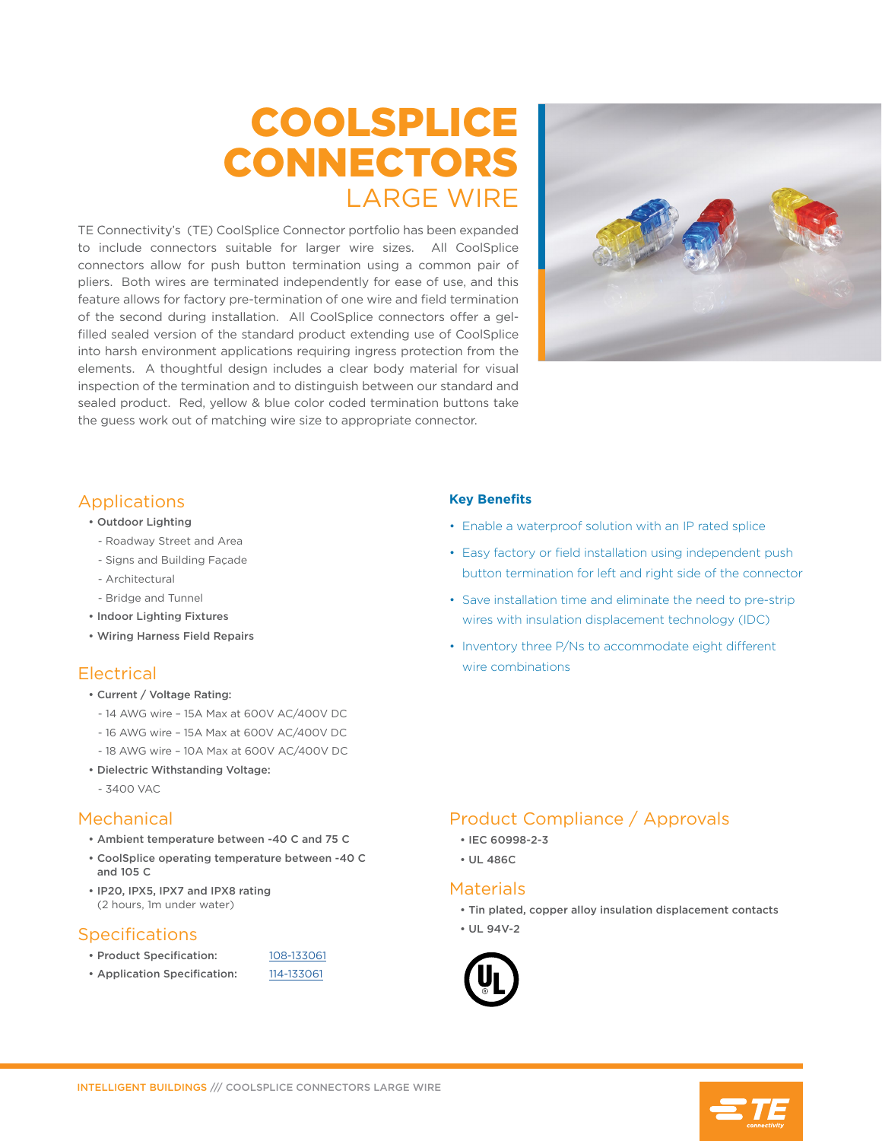# COOLSPLICE CONNECTORS LARGE WIRE

TE Connectivity's (TE) CoolSplice Connector portfolio has been expanded to include connectors suitable for larger wire sizes. All CoolSplice connectors allow for push button termination using a common pair of pliers. Both wires are terminated independently for ease of use, and this feature allows for factory pre-termination of one wire and field termination of the second during installation. All CoolSplice connectors offer a gelfilled sealed version of the standard product extending use of CoolSplice into harsh environment applications requiring ingress protection from the elements. A thoughtful design includes a clear body material for visual inspection of the termination and to distinguish between our standard and sealed product. Red, yellow & blue color coded termination buttons take the guess work out of matching wire size to appropriate connector.



#### Applications

- Outdoor Lighting
- Roadway Street and Area
- Signs and Building Façade
- Architectural
- Bridge and Tunnel
- Indoor Lighting Fixtures
- Wiring Harness Field Repairs

## Electrical

- Current / Voltage Rating:
	- 14 AWG wire 15A Max at 600V AC/400V DC
	- 16 AWG wire 15A Max at 600V AC/400V DC
	- 18 AWG wire 10A Max at 600V AC/400V DC
- Dielectric Withstanding Voltage:
	- 3400 VAC

#### Mechanical

- Ambient temperature between -40 C and 75 C
- CoolSplice operating temperature between -40 C and 105 C
- IP20, IPX5, IPX7 and IPX8 rating (2 hours, 1m under water)

## **Specifications**

- Product Specification: [108-133061](http://www.te.com/commerce/DocumentDelivery/DDEController?Action=showdoc&DocId=Specification+Or+Standard%7F108-133061%7FA1%7Fpdf%7FEnglish%7FENG_SS_108-133061_A1.pdf%7F2213600-1)
- Application Specification: [114-133061](http://www.te.com/commerce/DocumentDelivery/DDEController?Action=showdoc&DocId=Specification+Or+Standard%7F114-133061%7FA%7Fpdf%7FEnglish%7FENG_SS_114-133061_A.pdf%7F2213600-1)
- 

#### **Key Benefits**

- Enable a waterproof solution with an IP rated splice
- Easy factory or field installation using independent push button termination for left and right side of the connector
- Save installation time and eliminate the need to pre-strip wires with insulation displacement technology (IDC)
- Inventory three P/Ns to accommodate eight different wire combinations

## Product Compliance / Approvals

- IEC 60998-2-3
- UL 486C

#### **Materials**

- Tin plated, copper alloy insulation displacement contacts
- UL 94V-2